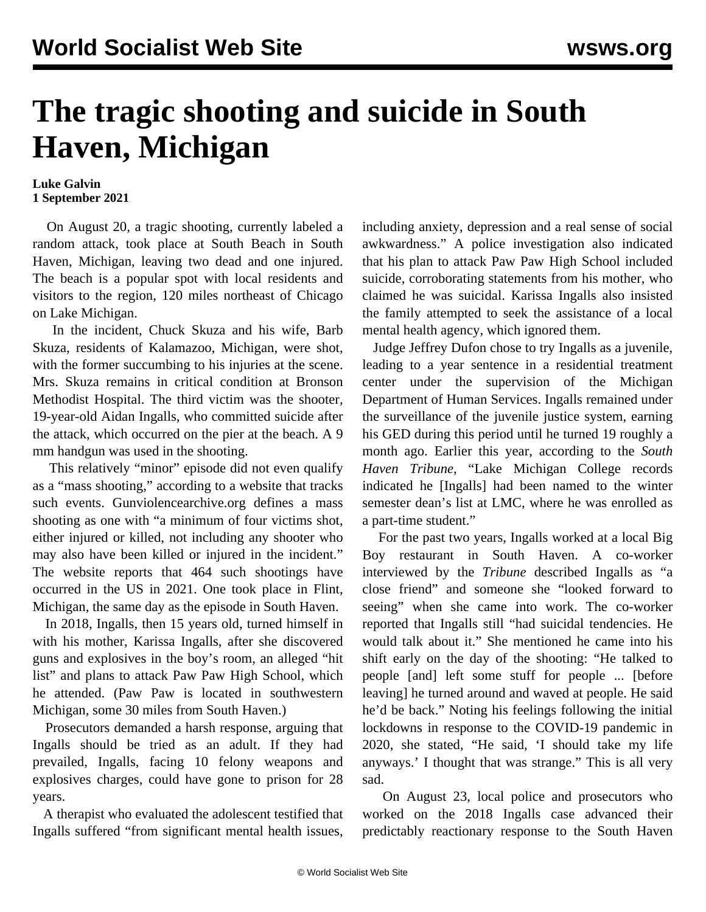## **The tragic shooting and suicide in South Haven, Michigan**

## **Luke Galvin 1 September 2021**

 On August 20, a tragic shooting, currently labeled a random attack, took place at South Beach in South Haven, Michigan, leaving two dead and one injured. The beach is a popular spot with local residents and visitors to the region, 120 miles northeast of Chicago on Lake Michigan.

 In the incident, Chuck Skuza and his wife, Barb Skuza, residents of Kalamazoo, Michigan, were shot, with the former succumbing to his injuries at the scene. Mrs. Skuza remains in critical condition at Bronson Methodist Hospital. The third victim was the shooter, 19-year-old Aidan Ingalls, who committed suicide after the attack, which occurred on the pier at the beach. A 9 mm handgun was used in the shooting.

 This relatively "minor" episode did not even qualify as a "mass shooting," according to a website that tracks such events. Gunviolencearchive.org defines a mass shooting as one with "a minimum of four victims shot, either injured or killed, not including any shooter who may also have been killed or injured in the incident." The website reports that 464 such shootings have occurred in the US in 2021. One took place in Flint, Michigan, the same day as the episode in South Haven.

 In 2018, Ingalls, then 15 years old, turned himself in with his mother, Karissa Ingalls, after she discovered guns and explosives in the boy's room, an alleged "hit list" and plans to attack Paw Paw High School, which he attended. (Paw Paw is located in southwestern Michigan, some 30 miles from South Haven.)

 Prosecutors demanded a harsh response, arguing that Ingalls should be tried as an adult. If they had prevailed, Ingalls, facing 10 felony weapons and explosives charges, could have gone to prison for 28 years.

 A therapist who evaluated the adolescent testified that Ingalls suffered "from significant mental health issues,

including anxiety, depression and a real sense of social awkwardness." A police investigation also indicated that his plan to attack Paw Paw High School included suicide, corroborating statements from his mother, who claimed he was suicidal. Karissa Ingalls also insisted the family attempted to seek the assistance of a local mental health agency, which ignored them.

 Judge Jeffrey Dufon chose to try Ingalls as a juvenile, leading to a year sentence in a residential treatment center under the supervision of the Michigan Department of Human Services. Ingalls remained under the surveillance of the juvenile justice system, earning his GED during this period until he turned 19 roughly a month ago. Earlier this year, according to the *South Haven Tribune*, "Lake Michigan College records indicated he [Ingalls] had been named to the winter semester dean's list at LMC, where he was enrolled as a part-time student."

 For the past two years, Ingalls worked at a local Big Boy restaurant in South Haven. A co-worker interviewed by the *Tribune* described Ingalls as "a close friend" and someone she "looked forward to seeing" when she came into work. The co-worker reported that Ingalls still "had suicidal tendencies. He would talk about it." She mentioned he came into his shift early on the day of the shooting: "He talked to people [and] left some stuff for people ... [before leaving] he turned around and waved at people. He said he'd be back." Noting his feelings following the initial lockdowns in response to the COVID-19 pandemic in 2020, she stated, "He said, 'I should take my life anyways.' I thought that was strange." This is all very sad.

 On August 23, local police and prosecutors who worked on the 2018 Ingalls case advanced their predictably reactionary response to the South Haven